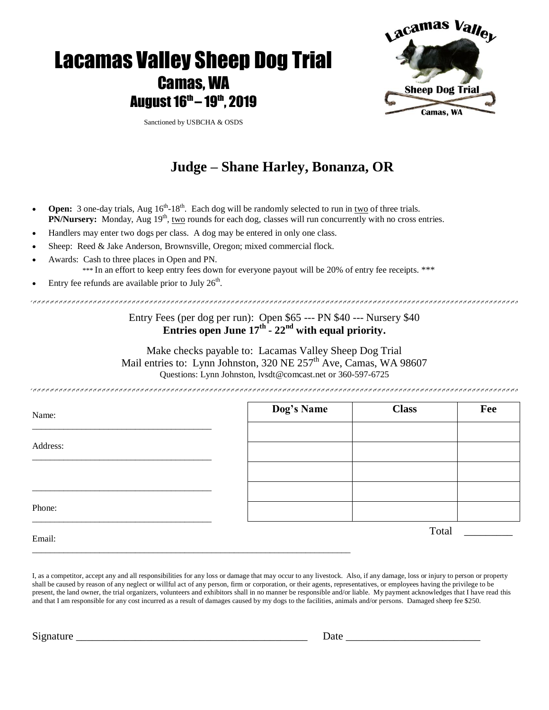

# **Judge – Shane Harley, Bonanza, OR**

- Open: 3 one-day trials, Aug  $16^{\text{th}} 18^{\text{th}}$ . Each dog will be randomly selected to run in <u>two</u> of three trials. PN/Nursery: Monday, Aug 19<sup>th</sup>, two rounds for each dog, classes will run concurrently with no cross entries.
- Handlers may enter two dogs per class. A dog may be entered in only one class.

\_\_\_\_\_\_\_\_\_\_\_\_\_\_\_\_\_\_\_\_\_\_\_\_\_\_\_\_\_\_\_\_\_\_\_\_\_\_\_\_\_\_\_\_\_\_\_\_\_\_\_\_\_\_\_\_\_\_\_\_\_\_\_\_\_\_\_\_\_\_\_

- Sheep: Reed & Jake Anderson, Brownsville, Oregon; mixed commercial flock.
- Awards: Cash to three places in Open and PN.

\*\*\* In an effort to keep entry fees down for everyone payout will be 20% of entry fee receipts. \*\*\*

Entry fee refunds are available prior to July  $26<sup>th</sup>$ .

### Entry Fees (per dog per run): Open \$65 --- PN \$40 --- Nursery \$40 **Entries open June 17 th - 22nd with equal priority.**

Make checks payable to: Lacamas Valley Sheep Dog Trial Mail entries to: Lynn Johnston,  $320$  NE  $257<sup>th</sup>$  Ave, Camas, WA 98607 Questions: Lynn Johnston, lvsdt@comcast.net or 360-597-6725

| Name:    | Dog's Name | <b>Class</b> | Fee |
|----------|------------|--------------|-----|
|          |            |              |     |
| Address: |            |              |     |
|          |            |              |     |
|          |            |              |     |
| Phone:   |            |              |     |
| $ -$     |            | Total        |     |

Email:

I, as a competitor, accept any and all responsibilities for any loss or damage that may occur to any livestock. Also, if any damage, loss or injury to person or property shall be caused by reason of any neglect or willful act of any person, firm or corporation, or their agents, representatives, or employees having the privilege to be present, the land owner, the trial organizers, volunteers and exhibitors shall in no manner be responsible and/or liable. My payment acknowledges that I have read this and that I am responsible for any cost incurred as a result of damages caused by my dogs to the facilities, animals and/or persons. Damaged sheep fee \$250.

Signature \_\_\_\_\_\_\_\_\_\_\_\_\_\_\_\_\_\_\_\_\_\_\_\_\_\_\_\_\_\_\_\_\_\_\_\_\_\_\_\_\_\_\_ Date \_\_\_\_\_\_\_\_\_\_\_\_\_\_\_\_\_\_\_\_\_\_\_\_\_